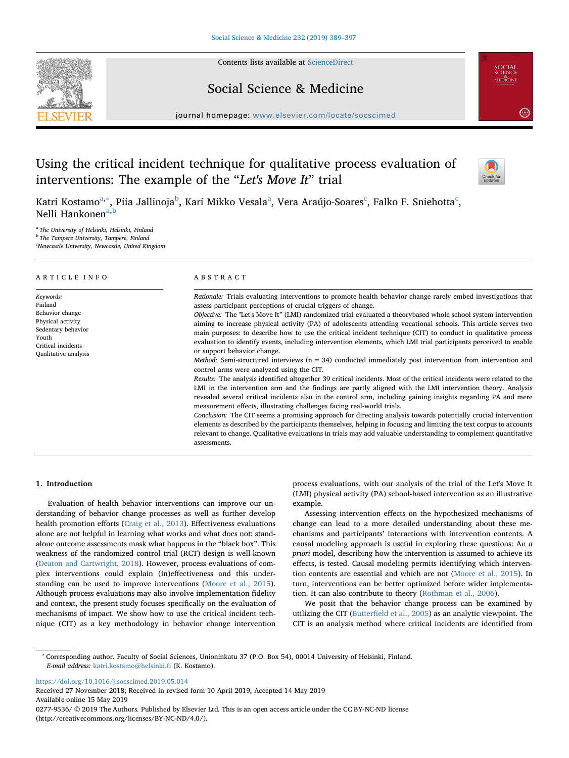Contents lists available at [ScienceDirect](http://www.sciencedirect.com/science/journal/02779536)





journal homepage: [www.elsevier.com/locate/socscimed](https://www.elsevier.com/locate/socscimed)

# Using the critical incident technique for qualitative process evaluation of interventions: The example of the "Let's Move It" trial



**SCIENCI**<br>MEDICINI

Katri Kostamo<sup>[a,](#page-0-0)</sup>\*, Piia Jallinoja<sup>[b](#page-0-2)</sup>, K[a](#page-0-0)ri Mikko Vesalaª, Vera Araújo-Soares<sup>[c](#page-0-3)</sup>, Falko F. Sniehotta<sup>c</sup>, Nelli H[a](#page-0-0)nkonen<sup>a[,b](#page-0-2)</sup>

<span id="page-0-2"></span><span id="page-0-0"></span><sup>a</sup> The University of Helsinki, Helsinki, Finland <sup>b</sup> The Tampere University, Tampere, Finland

<span id="page-0-3"></span><sup>c</sup>Newcastle University, Newcastle, United Kingdom

| ARTICLE INFO                                                                                                                              | ABSTRACT                                                                                                                                                                                                                                                                                                                                                                                                                                                                                                                                                                                                                                                                                                                                                                                                                                                                                                                                                                                                                                                                                                                                                                                                                                                                                                                                                                                                                                                                                                                                                                                                                                                                 |  |  |
|-------------------------------------------------------------------------------------------------------------------------------------------|--------------------------------------------------------------------------------------------------------------------------------------------------------------------------------------------------------------------------------------------------------------------------------------------------------------------------------------------------------------------------------------------------------------------------------------------------------------------------------------------------------------------------------------------------------------------------------------------------------------------------------------------------------------------------------------------------------------------------------------------------------------------------------------------------------------------------------------------------------------------------------------------------------------------------------------------------------------------------------------------------------------------------------------------------------------------------------------------------------------------------------------------------------------------------------------------------------------------------------------------------------------------------------------------------------------------------------------------------------------------------------------------------------------------------------------------------------------------------------------------------------------------------------------------------------------------------------------------------------------------------------------------------------------------------|--|--|
| Keywords:<br>Finland<br>Behavior change<br>Physical activity<br>Sedentary behavior<br>Youth<br>Critical incidents<br>Qualitative analysis | Rationale: Trials evaluating interventions to promote health behavior change rarely embed investigations that<br>assess participant perceptions of crucial triggers of change.<br>Objective: The "Let's Move It" (LMI) randomized trial evaluated a theorybased whole school system intervention<br>aiming to increase physical activity (PA) of adolescents attending vocational schools. This article serves two<br>main purposes: to describe how to use the critical incident technique (CIT) to conduct in qualitative process<br>evaluation to identify events, including intervention elements, which LMI trial participants perceived to enable<br>or support behavior change.<br><i>Method:</i> Semi-structured interviews ( $n = 34$ ) conducted immediately post intervention from intervention and<br>control arms were analyzed using the CIT.<br>Results: The analysis identified altogether 39 critical incidents. Most of the critical incidents were related to the<br>LMI in the intervention arm and the findings are partly aligned with the LMI intervention theory. Analysis<br>revealed several critical incidents also in the control arm, including gaining insights regarding PA and mere<br>measurement effects, illustrating challenges facing real-world trials.<br>Conclusion: The CIT seems a promising approach for directing analysis towards potentially crucial intervention<br>elements as described by the participants themselves, helping in focusing and limiting the text corpus to accounts<br>relevant to change. Qualitative evaluations in trials may add valuable understanding to complement quantitative<br>assessments. |  |  |

# 1. Introduction

Evaluation of health behavior interventions can improve our understanding of behavior change processes as well as further develop health promotion efforts [\(Craig et al., 2013](#page-8-0)). Effectiveness evaluations alone are not helpful in learning what works and what does not: standalone outcome assessments mask what happens in the "black box". This weakness of the randomized control trial (RCT) design is well-known ([Deaton and Cartwright, 2018](#page-8-1)). However, process evaluations of complex interventions could explain (in)effectiveness and this understanding can be used to improve interventions ([Moore et al., 2015](#page-8-2)). Although process evaluations may also involve implementation fidelity and context, the present study focuses specifically on the evaluation of mechanisms of impact. We show how to use the critical incident technique (CIT) as a key methodology in behavior change intervention process evaluations, with our analysis of the trial of the Let's Move It (LMI) physical activity (PA) school-based intervention as an illustrative example.

Assessing intervention effects on the hypothesized mechanisms of change can lead to a more detailed understanding about these mechanisms and participants' interactions with intervention contents. A causal modeling approach is useful in exploring these questions: An a priori model, describing how the intervention is assumed to achieve its effects, is tested. Causal modeling permits identifying which intervention contents are essential and which are not [\(Moore et al., 2015](#page-8-2)). In turn, interventions can be better optimized before wider implementation. It can also contribute to theory [\(Rothman et al., 2006\)](#page-8-3).

We posit that the behavior change process can be examined by utilizing the CIT (Butterfi[eld et al., 2005\)](#page-8-4) as an analytic viewpoint. The CIT is an analysis method where critical incidents are identified from

<https://doi.org/10.1016/j.socscimed.2019.05.014>

Received 27 November 2018; Received in revised form 10 April 2019; Accepted 14 May 2019 Available online 15 May 2019

0277-9536/ © 2019 The Authors. Published by Elsevier Ltd. This is an open access article under the CC BY-NC-ND license (http://creativecommons.org/licenses/BY-NC-ND/4.0/).

<span id="page-0-1"></span><sup>∗</sup> Corresponding author. Faculty of Social Sciences, Unioninkatu 37 (P.O. Box 54), 00014 University of Helsinki, Finland. E-mail address: [katri.kostamo@helsinki.](mailto:katri.kostamo@helsinki.fi)fi (K. Kostamo).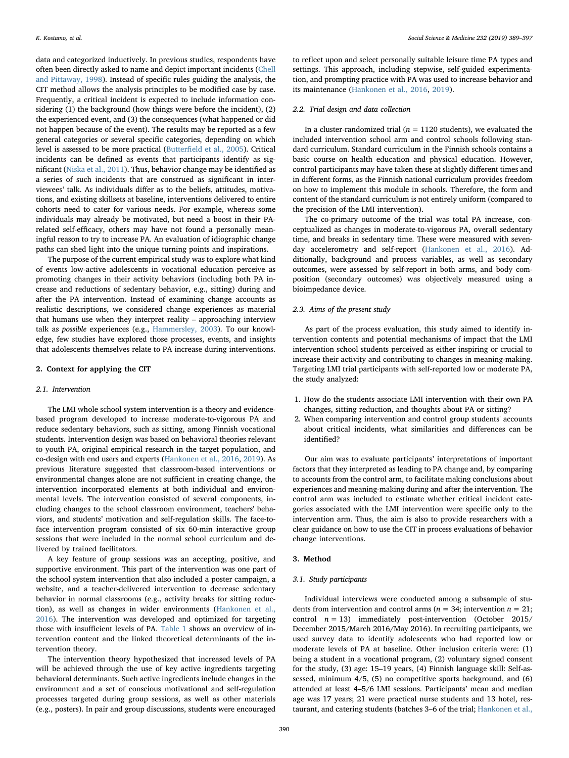data and categorized inductively. In previous studies, respondents have often been directly asked to name and depict important incidents [\(Chell](#page-8-5) [and Pittaway, 1998](#page-8-5)). Instead of specific rules guiding the analysis, the CIT method allows the analysis principles to be modified case by case. Frequently, a critical incident is expected to include information considering (1) the background (how things were before the incident), (2) the experienced event, and (3) the consequences (what happened or did not happen because of the event). The results may be reported as a few general categories or several specific categories, depending on which level is assessed to be more practical (Butterfi[eld et al., 2005](#page-8-4)). Critical incidents can be defined as events that participants identify as significant [\(Niska et al., 2011](#page-8-6)). Thus, behavior change may be identified as a series of such incidents that are construed as significant in interviewees' talk. As individuals differ as to the beliefs, attitudes, motivations, and existing skillsets at baseline, interventions delivered to entire cohorts need to cater for various needs. For example, whereas some individuals may already be motivated, but need a boost in their PArelated self-efficacy, others may have not found a personally meaningful reason to try to increase PA. An evaluation of idiographic change paths can shed light into the unique turning points and inspirations.

The purpose of the current empirical study was to explore what kind of events low-active adolescents in vocational education perceive as promoting changes in their activity behaviors (including both PA increase and reductions of sedentary behavior, e.g., sitting) during and after the PA intervention. Instead of examining change accounts as realistic descriptions, we considered change experiences as material that humans use when they interpret reality – approaching interview talk as possible experiences (e.g., [Hammersley, 2003\)](#page-8-7). To our knowledge, few studies have explored those processes, events, and insights that adolescents themselves relate to PA increase during interventions.

# 2. Context for applying the CIT

#### 2.1. Intervention

The LMI whole school system intervention is a theory and evidencebased program developed to increase moderate-to-vigorous PA and reduce sedentary behaviors, such as sitting, among Finnish vocational students. Intervention design was based on behavioral theories relevant to youth PA, original empirical research in the target population, and co-design with end users and experts [\(Hankonen et al., 2016](#page-8-8), [2019\)](#page-8-9). As previous literature suggested that classroom-based interventions or environmental changes alone are not sufficient in creating change, the intervention incorporated elements at both individual and environmental levels. The intervention consisted of several components, including changes to the school classroom environment, teachers' behaviors, and students' motivation and self-regulation skills. The face-toface intervention program consisted of six 60-min interactive group sessions that were included in the normal school curriculum and delivered by trained facilitators.

A key feature of group sessions was an accepting, positive, and supportive environment. This part of the intervention was one part of the school system intervention that also included a poster campaign, a website, and a teacher-delivered intervention to decrease sedentary behavior in normal classrooms (e.g., activity breaks for sitting reduction), as well as changes in wider environments ([Hankonen et al.,](#page-8-8) [2016\)](#page-8-8). The intervention was developed and optimized for targeting those with insufficient levels of PA. [Table 1](#page-2-0) shows an overview of intervention content and the linked theoretical determinants of the intervention theory.

The intervention theory hypothesized that increased levels of PA will be achieved through the use of key active ingredients targeting behavioral determinants. Such active ingredients include changes in the environment and a set of conscious motivational and self-regulation processes targeted during group sessions, as well as other materials (e.g., posters). In pair and group discussions, students were encouraged

to reflect upon and select personally suitable leisure time PA types and settings. This approach, including stepwise, self-guided experimentation, and prompting practice with PA was used to increase behavior and its maintenance [\(Hankonen et al., 2016,](#page-8-8) [2019\)](#page-8-9).

### 2.2. Trial design and data collection

In a cluster-randomized trial ( $n = 1120$  students), we evaluated the included intervention school arm and control schools following standard curriculum. Standard curriculum in the Finnish schools contains a basic course on health education and physical education. However, control participants may have taken these at slightly different times and in different forms, as the Finnish national curriculum provides freedom on how to implement this module in schools. Therefore, the form and content of the standard curriculum is not entirely uniform (compared to the precision of the LMI intervention).

The co-primary outcome of the trial was total PA increase, conceptualized as changes in moderate-to-vigorous PA, overall sedentary time, and breaks in sedentary time. These were measured with sevenday accelerometry and self-report [\(Hankonen et al., 2016](#page-8-8)). Additionally, background and process variables, as well as secondary outcomes, were assessed by self-report in both arms, and body composition (secondary outcomes) was objectively measured using a bioimpedance device.

### 2.3. Aims of the present study

As part of the process evaluation, this study aimed to identify intervention contents and potential mechanisms of impact that the LMI intervention school students perceived as either inspiring or crucial to increase their activity and contributing to changes in meaning-making. Targeting LMI trial participants with self-reported low or moderate PA, the study analyzed:

- 1. How do the students associate LMI intervention with their own PA changes, sitting reduction, and thoughts about PA or sitting?
- 2. When comparing intervention and control group students' accounts about critical incidents, what similarities and differences can be identified?

Our aim was to evaluate participants' interpretations of important factors that they interpreted as leading to PA change and, by comparing to accounts from the control arm, to facilitate making conclusions about experiences and meaning-making during and after the intervention. The control arm was included to estimate whether critical incident categories associated with the LMI intervention were specific only to the intervention arm. Thus, the aim is also to provide researchers with a clear guidance on how to use the CIT in process evaluations of behavior change interventions.

### 3. Method

# 3.1. Study participants

Individual interviews were conducted among a subsample of students from intervention and control arms ( $n = 34$ ; intervention  $n = 21$ ; control  $n = 13$ ) immediately post-intervention (October 2015/ December 2015/March 2016/May 2016). In recruiting participants, we used survey data to identify adolescents who had reported low or moderate levels of PA at baseline. Other inclusion criteria were: (1) being a student in a vocational program, (2) voluntary signed consent for the study, (3) age: 15–19 years, (4) Finnish language skill: Self-assessed, minimum 4/5, (5) no competitive sports background, and (6) attended at least 4–5/6 LMI sessions. Participants' mean and median age was 17 years; 21 were practical nurse students and 13 hotel, restaurant, and catering students (batches 3–6 of the trial; [Hankonen et al.,](#page-8-8)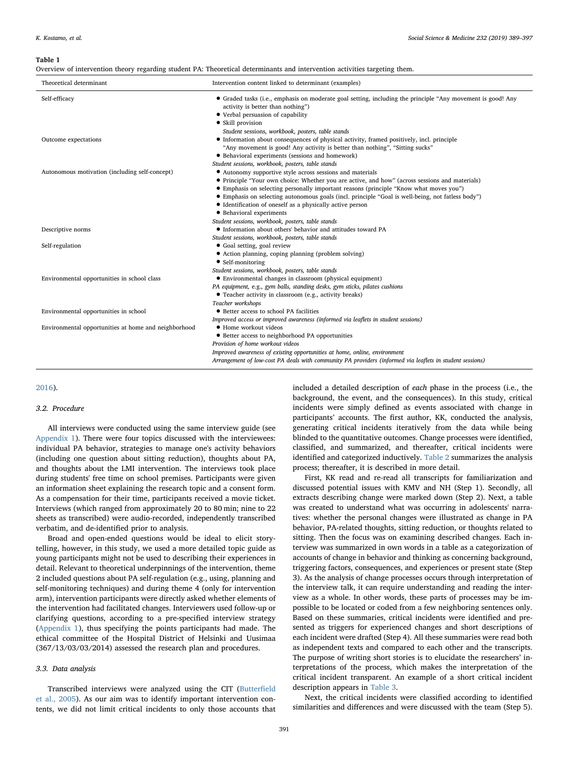### <span id="page-2-0"></span>Table 1

|  |  |  | Overview of intervention theory regarding student PA: Theoretical determinants and intervention activities targeting them. |
|--|--|--|----------------------------------------------------------------------------------------------------------------------------|
|--|--|--|----------------------------------------------------------------------------------------------------------------------------|

| Theoretical determinant                              | Intervention content linked to determinant (examples)                                                                                                                                                                                                    |
|------------------------------------------------------|----------------------------------------------------------------------------------------------------------------------------------------------------------------------------------------------------------------------------------------------------------|
| Self-efficacy                                        | • Graded tasks (i.e., emphasis on moderate goal setting, including the principle "Any movement is good! Any<br>activity is better than nothing")<br>• Verbal persuasion of capability<br>• Skill provision                                               |
|                                                      | Student sessions, workbook, posters, table stands                                                                                                                                                                                                        |
| Outcome expectations                                 | • Information about consequences of physical activity, framed positively, incl. principle<br>"Any movement is good! Any activity is better than nothing", "Sitting sucks"                                                                                |
|                                                      | • Behavioral experiments (sessions and homework)<br>Student sessions, workbook, posters, table stands                                                                                                                                                    |
| Autonomous motivation (including self-concept)       | • Autonomy supportive style across sessions and materials<br>• Principle "Your own choice: Whether you are active, and how" (across sessions and materials)                                                                                              |
|                                                      | • Emphasis on selecting personally important reasons (principle "Know what moves you")<br>• Emphasis on selecting autonomous goals (incl. principle "Goal is well-being, not fatless body")<br>• Identification of oneself as a physically active person |
|                                                      | • Behavioral experiments<br>Student sessions, workbook, posters, table stands                                                                                                                                                                            |
| Descriptive norms                                    | • Information about others' behavior and attitudes toward PA                                                                                                                                                                                             |
|                                                      | Student sessions, workbook, posters, table stands                                                                                                                                                                                                        |
| Self-regulation                                      | • Goal setting, goal review<br>• Action planning, coping planning (problem solving)<br>• Self-monitoring                                                                                                                                                 |
|                                                      | Student sessions, workbook, posters, table stands                                                                                                                                                                                                        |
| Environmental opportunities in school class          | • Environmental changes in classroom (physical equipment)                                                                                                                                                                                                |
|                                                      | PA equipment, e.g., gym balls, standing desks, gym sticks, pilates cushions<br>• Teacher activity in classroom (e.g., activity breaks)                                                                                                                   |
| Environmental opportunities in school                | Teacher workshops<br>• Better access to school PA facilities                                                                                                                                                                                             |
|                                                      | Improved access or improved awareness (informed via leaflets in student sessions)                                                                                                                                                                        |
| Environmental opportunities at home and neighborhood | • Home workout videos                                                                                                                                                                                                                                    |
|                                                      | • Better access to neighborhood PA opportunities                                                                                                                                                                                                         |
|                                                      | Provision of home workout videos                                                                                                                                                                                                                         |
|                                                      | Improved awareness of existing opportunities at home, online, environment                                                                                                                                                                                |
|                                                      | Arrangement of low-cost PA deals with community PA providers (informed via leaflets in student sessions)                                                                                                                                                 |

[2016\)](#page-8-8).

# 3.2. Procedure

All interviews were conducted using the same interview guide (see Appendix 1). There were four topics discussed with the interviewees: individual PA behavior, strategies to manage one's activity behaviors (including one question about sitting reduction), thoughts about PA, and thoughts about the LMI intervention. The interviews took place during students' free time on school premises. Participants were given an information sheet explaining the research topic and a consent form. As a compensation for their time, participants received a movie ticket. Interviews (which ranged from approximately 20 to 80 min; nine to 22 sheets as transcribed) were audio-recorded, independently transcribed verbatim, and de-identified prior to analysis.

Broad and open-ended questions would be ideal to elicit storytelling, however, in this study, we used a more detailed topic guide as young participants might not be used to describing their experiences in detail. Relevant to theoretical underpinnings of the intervention, theme 2 included questions about PA self-regulation (e.g., using, planning and self-monitoring techniques) and during theme 4 (only for intervention arm), intervention participants were directly asked whether elements of the intervention had facilitated changes. Interviewers used follow-up or clarifying questions, according to a pre-specified interview strategy (Appendix 1), thus specifying the points participants had made. The ethical committee of the Hospital District of Helsinki and Uusimaa (367/13/03/03/2014) assessed the research plan and procedures.

# 3.3. Data analysis

Transcribed interviews were analyzed using the CIT [\(Butter](#page-8-4)field [et al., 2005](#page-8-4)). As our aim was to identify important intervention contents, we did not limit critical incidents to only those accounts that included a detailed description of each phase in the process (i.e., the background, the event, and the consequences). In this study, critical incidents were simply defined as events associated with change in participants' accounts. The first author, KK, conducted the analysis, generating critical incidents iteratively from the data while being blinded to the quantitative outcomes. Change processes were identified, classified, and summarized, and thereafter, critical incidents were identified and categorized inductively. [Table 2](#page-3-0) summarizes the analysis process; thereafter, it is described in more detail.

First, KK read and re-read all transcripts for familiarization and discussed potential issues with KMV and NH (Step 1). Secondly, all extracts describing change were marked down (Step 2). Next, a table was created to understand what was occurring in adolescents' narratives: whether the personal changes were illustrated as change in PA behavior, PA-related thoughts, sitting reduction, or thoughts related to sitting. Then the focus was on examining described changes. Each interview was summarized in own words in a table as a categorization of accounts of change in behavior and thinking as concerning background, triggering factors, consequences, and experiences or present state (Step 3). As the analysis of change processes occurs through interpretation of the interview talk, it can require understanding and reading the interview as a whole. In other words, these parts of processes may be impossible to be located or coded from a few neighboring sentences only. Based on these summaries, critical incidents were identified and presented as triggers for experienced changes and short descriptions of each incident were drafted (Step 4). All these summaries were read both as independent texts and compared to each other and the transcripts. The purpose of writing short stories is to elucidate the researchers' interpretations of the process, which makes the interpretation of the critical incident transparent. An example of a short critical incident description appears in [Table 3.](#page-3-1)

Next, the critical incidents were classified according to identified similarities and differences and were discussed with the team (Step 5).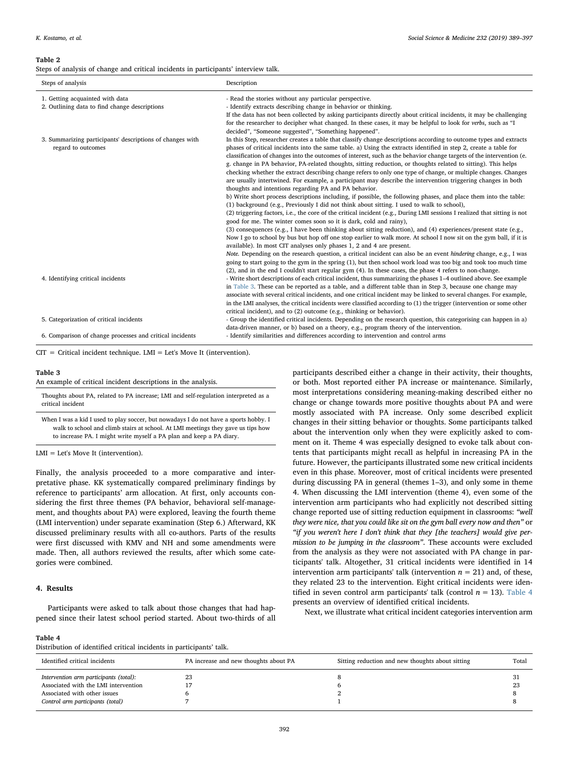#### <span id="page-3-0"></span>Table 2

Steps of analysis of change and critical incidents in participants' interview talk.

| Steps of analysis                                                               | Description                                                                                                                                                                                                                                                                                                                                                                                                                                                                                                                                                                                                                                                                                                                                                                                                                                                                                                                                                                                                                                                                                                                                                                                                                                                                                                                                                                                                                                                                                                      |
|---------------------------------------------------------------------------------|------------------------------------------------------------------------------------------------------------------------------------------------------------------------------------------------------------------------------------------------------------------------------------------------------------------------------------------------------------------------------------------------------------------------------------------------------------------------------------------------------------------------------------------------------------------------------------------------------------------------------------------------------------------------------------------------------------------------------------------------------------------------------------------------------------------------------------------------------------------------------------------------------------------------------------------------------------------------------------------------------------------------------------------------------------------------------------------------------------------------------------------------------------------------------------------------------------------------------------------------------------------------------------------------------------------------------------------------------------------------------------------------------------------------------------------------------------------------------------------------------------------|
| 1. Getting acquainted with data                                                 | - Read the stories without any particular perspective.                                                                                                                                                                                                                                                                                                                                                                                                                                                                                                                                                                                                                                                                                                                                                                                                                                                                                                                                                                                                                                                                                                                                                                                                                                                                                                                                                                                                                                                           |
| 2. Outlining data to find change descriptions                                   | - Identify extracts describing change in behavior or thinking.<br>If the data has not been collected by asking participants directly about critical incidents, it may be challenging<br>for the researcher to decipher what changed. In these cases, it may be helpful to look for verbs, such as "I<br>decided", "Someone suggested", "Something happened".                                                                                                                                                                                                                                                                                                                                                                                                                                                                                                                                                                                                                                                                                                                                                                                                                                                                                                                                                                                                                                                                                                                                                     |
| 3. Summarizing participants' descriptions of changes with<br>regard to outcomes | In this Step, researcher creates a table that classify change descriptions according to outcome types and extracts<br>phases of critical incidents into the same table. a) Using the extracts identified in step 2, create a table for<br>classification of changes into the outcomes of interest, such as the behavior change targets of the intervention (e.<br>g. change in PA behavior, PA-related thoughts, sitting reduction, or thoughts related to sitting). This helps<br>checking whether the extract describing change refers to only one type of change, or multiple changes. Changes<br>are usually intertwined. For example, a participant may describe the intervention triggering changes in both<br>thoughts and intentions regarding PA and PA behavior.<br>b) Write short process descriptions including, if possible, the following phases, and place them into the table:<br>(1) background (e.g., Previously I did not think about sitting. I used to walk to school),<br>(2) triggering factors, i.e., the core of the critical incident (e.g., During LMI sessions I realized that sitting is not<br>good for me. The winter comes soon so it is dark, cold and rainy),<br>(3) consequences (e.g., I have been thinking about sitting reduction), and (4) experiences/present state (e.g.,<br>Now I go to school by bus but hop off one stop earlier to walk more. At school I now sit on the gym ball, if it is<br>available). In most CIT analyses only phases 1, 2 and 4 are present. |
| 4. Identifying critical incidents                                               | Note. Depending on the research question, a critical incident can also be an event hindering change, e.g., I was<br>going to start going to the gym in the spring (1), but then school work load was too big and took too much time<br>(2), and in the end I couldn't start regular gym (4). In these cases, the phase 4 refers to non-change.<br>- Write short descriptions of each critical incident, thus summarizing the phases 1-4 outlined above. See example<br>in Table 3. These can be reported as a table, and a different table than in Step 3, because one change may<br>associate with several critical incidents, and one critical incident may be linked to several changes. For example,<br>in the LMI analyses, the critical incidents were classified according to (1) the trigger (intervention or some other<br>critical incident), and to (2) outcome (e.g., thinking or behavior).                                                                                                                                                                                                                                                                                                                                                                                                                                                                                                                                                                                                         |
| 5. Categorization of critical incidents                                         | - Group the identified critical incidents. Depending on the research question, this categorising can happen in a)<br>data-driven manner, or b) based on a theory, e.g., program theory of the intervention.                                                                                                                                                                                                                                                                                                                                                                                                                                                                                                                                                                                                                                                                                                                                                                                                                                                                                                                                                                                                                                                                                                                                                                                                                                                                                                      |
| 6. Comparison of change processes and critical incidents                        | - Identify similarities and differences according to intervention and control arms                                                                                                                                                                                                                                                                                                                                                                                                                                                                                                                                                                                                                                                                                                                                                                                                                                                                                                                                                                                                                                                                                                                                                                                                                                                                                                                                                                                                                               |

 $CIT = Critical incident technique. LMI = Let's Move It (intervation).$ 

#### <span id="page-3-1"></span>Table 3

An example of critical incident descriptions in the analysis.

| Thoughts about PA, related to PA increase; LMI and self-regulation interpreted as a |  |
|-------------------------------------------------------------------------------------|--|
| critical incident                                                                   |  |
|                                                                                     |  |

When I was a kid I used to play soccer, but nowadays I do not have a sports hobby. I walk to school and climb stairs at school. At LMI meetings they gave us tips how to increase PA. I might write myself a PA plan and keep a PA diary.

LMI = Let's Move It (intervention).

Finally, the analysis proceeded to a more comparative and interpretative phase. KK systematically compared preliminary findings by reference to participants' arm allocation. At first, only accounts considering the first three themes (PA behavior, behavioral self-management, and thoughts about PA) were explored, leaving the fourth theme (LMI intervention) under separate examination (Step 6.) Afterward, KK discussed preliminary results with all co-authors. Parts of the results were first discussed with KMV and NH and some amendments were made. Then, all authors reviewed the results, after which some categories were combined.

### 4. Results

Participants were asked to talk about those changes that had happened since their latest school period started. About two-thirds of all participants described either a change in their activity, their thoughts, or both. Most reported either PA increase or maintenance. Similarly, most interpretations considering meaning-making described either no change or change towards more positive thoughts about PA and were mostly associated with PA increase. Only some described explicit changes in their sitting behavior or thoughts. Some participants talked about the intervention only when they were explicitly asked to comment on it. Theme 4 was especially designed to evoke talk about contents that participants might recall as helpful in increasing PA in the future. However, the participants illustrated some new critical incidents even in this phase. Moreover, most of critical incidents were presented during discussing PA in general (themes 1–3), and only some in theme 4. When discussing the LMI intervention (theme 4), even some of the intervention arm participants who had explicitly not described sitting change reported use of sitting reduction equipment in classrooms: "well they were nice, that you could like sit on the gym ball every now and then" or "if you weren't here I don't think that they [the teachers] would give permission to be jumping in the classroom". These accounts were excluded from the analysis as they were not associated with PA change in participants' talk. Altogether, 31 critical incidents were identified in 14 intervention arm participants' talk (intervention  $n = 21$ ) and, of these, they related 23 to the intervention. Eight critical incidents were identified in seven control arm participants' talk (control  $n = 13$ ). [Table 4](#page-3-2) presents an overview of identified critical incidents.

Next, we illustrate what critical incident categories intervention arm

# <span id="page-3-2"></span>Table 4

Distribution of identified critical incidents in participants' talk.

| Identified critical incidents                                                                                                                      | PA increase and new thoughts about PA | Sitting reduction and new thoughts about sitting | Total    |
|----------------------------------------------------------------------------------------------------------------------------------------------------|---------------------------------------|--------------------------------------------------|----------|
| Intervention arm participants (total):<br>Associated with the LMI intervention<br>Associated with other issues<br>Control arm participants (total) | 23                                    |                                                  | 31<br>23 |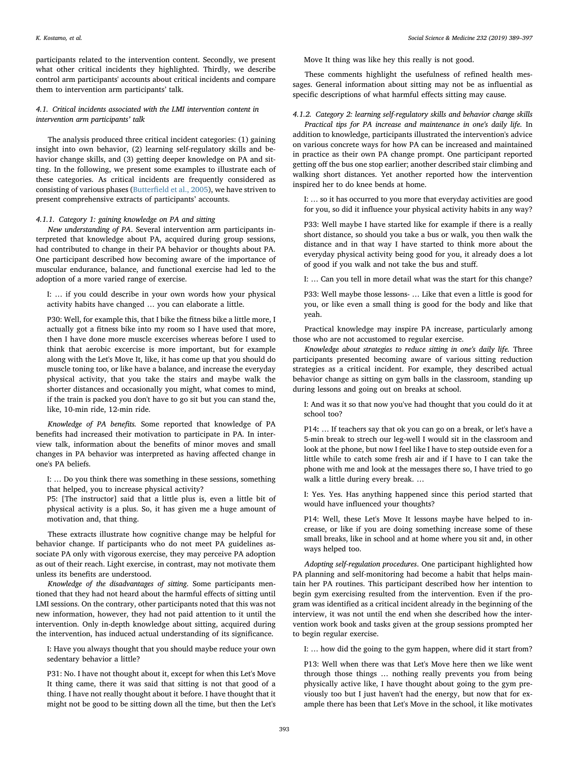participants related to the intervention content. Secondly, we present what other critical incidents they highlighted. Thirdly, we describe control arm participants' accounts about critical incidents and compare them to intervention arm participants' talk.

# 4.1. Critical incidents associated with the LMI intervention content in intervention arm participants' talk

The analysis produced three critical incident categories: (1) gaining insight into own behavior, (2) learning self-regulatory skills and behavior change skills, and (3) getting deeper knowledge on PA and sitting. In the following, we present some examples to illustrate each of these categories. As critical incidents are frequently considered as consisting of various phases (Butterfi[eld et al., 2005\)](#page-8-4), we have striven to present comprehensive extracts of participants' accounts.

# 4.1.1. Category 1: gaining knowledge on PA and sitting

New understanding of PA. Several intervention arm participants interpreted that knowledge about PA, acquired during group sessions, had contributed to change in their PA behavior or thoughts about PA. One participant described how becoming aware of the importance of muscular endurance, balance, and functional exercise had led to the adoption of a more varied range of exercise.

I: … if you could describe in your own words how your physical activity habits have changed … you can elaborate a little.

P30: Well, for example this, that I bike the fitness bike a little more, I actually got a fitness bike into my room so I have used that more, then I have done more muscle excercises whereas before I used to think that aerobic excercise is more important, but for example along with the Let's Move It, like, it has come up that you should do muscle toning too, or like have a balance, and increase the everyday physical activity, that you take the stairs and maybe walk the shorter distances and occasionally you might, what comes to mind, if the train is packed you don't have to go sit but you can stand the, like, 10-min ride, 12-min ride.

Knowledge of PA benefits. Some reported that knowledge of PA benefits had increased their motivation to participate in PA. In interview talk, information about the benefits of minor moves and small changes in PA behavior was interpreted as having affected change in one's PA beliefs.

I: … Do you think there was something in these sessions, something that helped, you to increase physical activity?

P5: [The instructor] said that a little plus is, even a little bit of physical activity is a plus. So, it has given me a huge amount of motivation and, that thing.

These extracts illustrate how cognitive change may be helpful for behavior change. If participants who do not meet PA guidelines associate PA only with vigorous exercise, they may perceive PA adoption as out of their reach. Light exercise, in contrast, may not motivate them unless its benefits are understood.

Knowledge of the disadvantages of sitting. Some participants mentioned that they had not heard about the harmful effects of sitting until LMI sessions. On the contrary, other participants noted that this was not new information, however, they had not paid attention to it until the intervention. Only in-depth knowledge about sitting, acquired during the intervention, has induced actual understanding of its significance.

I: Have you always thought that you should maybe reduce your own sedentary behavior a little?

P31: No. I have not thought about it, except for when this Let's Move It thing came, there it was said that sitting is not that good of a thing. I have not really thought about it before. I have thought that it might not be good to be sitting down all the time, but then the Let's Move It thing was like hey this really is not good.

These comments highlight the usefulness of refined health messages. General information about sitting may not be as influential as specific descriptions of what harmful effects sitting may cause.

# 4.1.2. Category 2: learning self-regulatory skills and behavior change skills

Practical tips for PA increase and maintenance in one's daily life. In addition to knowledge, participants illustrated the intervention's advice on various concrete ways for how PA can be increased and maintained in practice as their own PA change prompt. One participant reported getting off the bus one stop earlier; another described stair climbing and walking short distances. Yet another reported how the intervention inspired her to do knee bends at home.

I: … so it has occurred to you more that everyday activities are good for you, so did it influence your physical activity habits in any way?

P33: Well maybe I have started like for example if there is a really short distance, so should you take a bus or walk, you then walk the distance and in that way I have started to think more about the everyday physical activity being good for you, it already does a lot of good if you walk and not take the bus and stuff.

I: … Can you tell in more detail what was the start for this change?

P33: Well maybe those lessons- … Like that even a little is good for you, or like even a small thing is good for the body and like that yeah.

Practical knowledge may inspire PA increase, particularly among those who are not accustomed to regular exercise.

Knowledge about strategies to reduce sitting in one's daily life. Three participants presented becoming aware of various sitting reduction strategies as a critical incident. For example, they described actual behavior change as sitting on gym balls in the classroom, standing up during lessons and going out on breaks at school.

I: And was it so that now you've had thought that you could do it at school too?

P14: … If teachers say that ok you can go on a break, or let's have a 5-min break to strech our leg-well I would sit in the classroom and look at the phone, but now I feel like I have to step outside even for a little while to catch some fresh air and if I have to I can take the phone with me and look at the messages there so, I have tried to go walk a little during every break. …

I: Yes. Yes. Has anything happened since this period started that would have influenced your thoughts?

P14: Well, these Let's Move It lessons maybe have helped to increase, or like if you are doing something increase some of these small breaks, like in school and at home where you sit and, in other ways helped too.

Adopting self-regulation procedures. One participant highlighted how PA planning and self-monitoring had become a habit that helps maintain her PA routines. This participant described how her intention to begin gym exercising resulted from the intervention. Even if the program was identified as a critical incident already in the beginning of the interview, it was not until the end when she described how the intervention work book and tasks given at the group sessions prompted her to begin regular exercise.

I: … how did the going to the gym happen, where did it start from?

P13: Well when there was that Let's Move here then we like went through those things … nothing really prevents you from being physically active like, I have thought about going to the gym previously too but I just haven't had the energy, but now that for example there has been that Let's Move in the school, it like motivates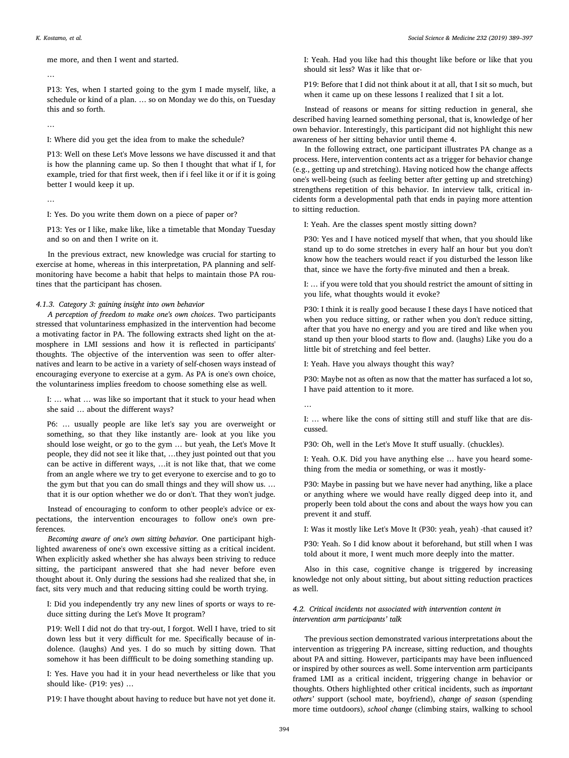me more, and then I went and started.

…

P13: Yes, when I started going to the gym I made myself, like, a schedule or kind of a plan. … so on Monday we do this, on Tuesday this and so forth.

I: Where did you get the idea from to make the schedule?

P13: Well on these Let's Move lessons we have discussed it and that is how the planning came up. So then I thought that what if I, for example, tried for that first week, then if i feel like it or if it is going better I would keep it up.

…

I: Yes. Do you write them down on a piece of paper or?

P13: Yes or I like, make like, like a timetable that Monday Tuesday and so on and then I write on it.

In the previous extract, new knowledge was crucial for starting to exercise at home, whereas in this interpretation, PA planning and selfmonitoring have become a habit that helps to maintain those PA routines that the participant has chosen.

4.1.3. Category 3: gaining insight into own behavior

A perception of freedom to make one's own choices. Two participants stressed that voluntariness emphasized in the intervention had become a motivating factor in PA. The following extracts shed light on the atmosphere in LMI sessions and how it is reflected in participants' thoughts. The objective of the intervention was seen to offer alternatives and learn to be active in a variety of self-chosen ways instead of encouraging everyone to exercise at a gym. As PA is one's own choice, the voluntariness implies freedom to choose something else as well.

I: … what … was like so important that it stuck to your head when she said … about the different ways?

P6: … usually people are like let's say you are overweight or something, so that they like instantly are- look at you like you should lose weight, or go to the gym … but yeah, the Let's Move It people, they did not see it like that, …they just pointed out that you can be active in different ways, …it is not like that, that we come from an angle where we try to get everyone to exercise and to go to the gym but that you can do small things and they will show us. … that it is our option whether we do or don't. That they won't judge.

Instead of encouraging to conform to other people's advice or expectations, the intervention encourages to follow one's own preferences.

Becoming aware of one's own sitting behavior. One participant highlighted awareness of one's own excessive sitting as a critical incident. When explicitly asked whether she has always been striving to reduce sitting, the participant answered that she had never before even thought about it. Only during the sessions had she realized that she, in fact, sits very much and that reducing sitting could be worth trying.

I: Did you independently try any new lines of sports or ways to reduce sitting during the Let's Move It program?

P19: Well I did not do that try-out, I forgot. Well I have, tried to sit down less but it very difficult for me. Specifically because of indolence. (laughs) And yes. I do so much by sitting down. That somehow it has been diffficult to be doing something standing up.

I: Yes. Have you had it in your head nevertheless or like that you should like- (P19: yes) …

P19: I have thought about having to reduce but have not yet done it.

I: Yeah. Had you like had this thought like before or like that you should sit less? Was it like that or-

P19: Before that I did not think about it at all, that I sit so much, but when it came up on these lessons I realized that I sit a lot.

Instead of reasons or means for sitting reduction in general, she described having learned something personal, that is, knowledge of her own behavior. Interestingly, this participant did not highlight this new awareness of her sitting behavior until theme 4.

In the following extract, one participant illustrates PA change as a process. Here, intervention contents act as a trigger for behavior change (e.g., getting up and stretching). Having noticed how the change affects one's well-being (such as feeling better after getting up and stretching) strengthens repetition of this behavior. In interview talk, critical incidents form a developmental path that ends in paying more attention to sitting reduction.

I: Yeah. Are the classes spent mostly sitting down?

P30: Yes and I have noticed myself that when, that you should like stand up to do some stretches in every half an hour but you don't know how the teachers would react if you disturbed the lesson like that, since we have the forty-five minuted and then a break.

I: … if you were told that you should restrict the amount of sitting in you life, what thoughts would it evoke?

P30: I think it is really good because I these days I have noticed that when you reduce sitting, or rather when you don't reduce sitting, after that you have no energy and you are tired and like when you stand up then your blood starts to flow and. (laughs) Like you do a little bit of stretching and feel better.

I: Yeah. Have you always thought this way?

P30: Maybe not as often as now that the matter has surfaced a lot so, I have paid attention to it more.

…

I: … where like the cons of sitting still and stuff like that are discussed.

P30: Oh, well in the Let's Move It stuff usually. (chuckles).

I: Yeah. O.K. Did you have anything else … have you heard something from the media or something, or was it mostly-

P30: Maybe in passing but we have never had anything, like a place or anything where we would have really digged deep into it, and properly been told about the cons and about the ways how you can prevent it and stuff.

I: Was it mostly like Let's Move It (P30: yeah, yeah) -that caused it?

P30: Yeah. So I did know about it beforehand, but still when I was told about it more, I went much more deeply into the matter.

Also in this case, cognitive change is triggered by increasing knowledge not only about sitting, but about sitting reduction practices as well.

# 4.2. Critical incidents not associated with intervention content in intervention arm participants' talk

The previous section demonstrated various interpretations about the intervention as triggering PA increase, sitting reduction, and thoughts about PA and sitting. However, participants may have been influenced or inspired by other sources as well. Some intervention arm participants framed LMI as a critical incident, triggering change in behavior or thoughts. Others highlighted other critical incidents, such as important others' support (school mate, boyfriend), change of season (spending more time outdoors), school change (climbing stairs, walking to school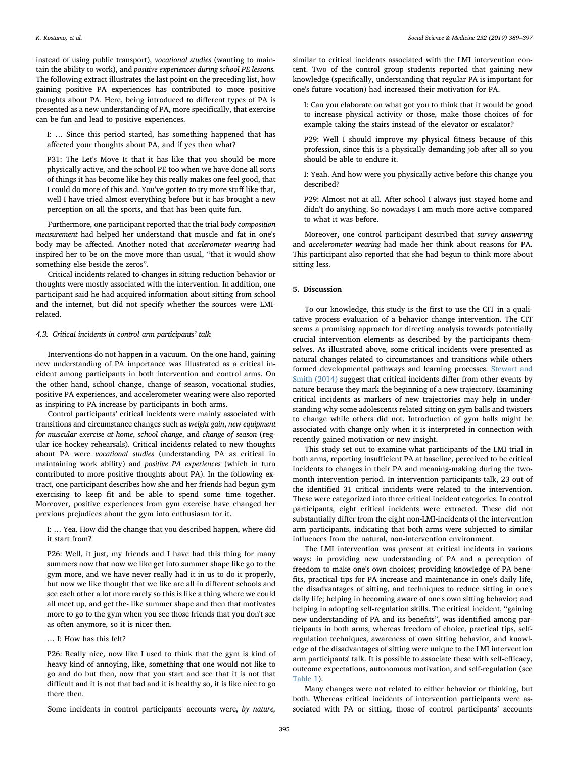instead of using public transport), vocational studies (wanting to maintain the ability to work), and positive experiences during school PE lessons. The following extract illustrates the last point on the preceding list, how gaining positive PA experiences has contributed to more positive thoughts about PA. Here, being introduced to different types of PA is presented as a new understanding of PA, more specifically, that exercise can be fun and lead to positive experiences.

I: … Since this period started, has something happened that has affected your thoughts about PA, and if yes then what?

P31: The Let's Move It that it has like that you should be more physically active, and the school PE too when we have done all sorts of things it has become like hey this really makes one feel good, that I could do more of this and. You've gotten to try more stuff like that, well I have tried almost everything before but it has brought a new perception on all the sports, and that has been quite fun.

Furthermore, one participant reported that the trial body composition measurement had helped her understand that muscle and fat in one's body may be affected. Another noted that accelerometer wearing had inspired her to be on the move more than usual, "that it would show something else beside the zeros".

Critical incidents related to changes in sitting reduction behavior or thoughts were mostly associated with the intervention. In addition, one participant said he had acquired information about sitting from school and the internet, but did not specify whether the sources were LMIrelated.

#### 4.3. Critical incidents in control arm participants' talk

Interventions do not happen in a vacuum. On the one hand, gaining new understanding of PA importance was illustrated as a critical incident among participants in both intervention and control arms. On the other hand, school change, change of season, vocational studies, positive PA experiences, and accelerometer wearing were also reported as inspiring to PA increase by participants in both arms.

Control participants' critical incidents were mainly associated with transitions and circumstance changes such as weight gain, new equipment for muscular exercise at home, school change, and change of season (regular ice hockey rehearsals). Critical incidents related to new thoughts about PA were vocational studies (understanding PA as critical in maintaining work ability) and positive PA experiences (which in turn contributed to more positive thoughts about PA). In the following extract, one participant describes how she and her friends had begun gym exercising to keep fit and be able to spend some time together. Moreover, positive experiences from gym exercise have changed her previous prejudices about the gym into enthusiasm for it.

I: … Yea. How did the change that you described happen, where did it start from?

P26: Well, it just, my friends and I have had this thing for many summers now that now we like get into summer shape like go to the gym more, and we have never really had it in us to do it properly, but now we like thought that we like are all in different schools and see each other a lot more rarely so this is like a thing where we could all meet up, and get the- like summer shape and then that motivates more to go to the gym when you see those friends that you don't see as often anymore, so it is nicer then.

# … I: How has this felt?

P26: Really nice, now like I used to think that the gym is kind of heavy kind of annoying, like, something that one would not like to go and do but then, now that you start and see that it is not that difficult and it is not that bad and it is healthy so, it is like nice to go there then.

Some incidents in control participants' accounts were, by nature,

similar to critical incidents associated with the LMI intervention content. Two of the control group students reported that gaining new knowledge (specifically, understanding that regular PA is important for one's future vocation) had increased their motivation for PA.

I: Can you elaborate on what got you to think that it would be good to increase physical activity or those, make those choices of for example taking the stairs instead of the elevator or escalator?

P29: Well I should improve my physical fitness because of this profession, since this is a physically demanding job after all so you should be able to endure it.

I: Yeah. And how were you physically active before this change you described?

P29: Almost not at all. After school I always just stayed home and didn't do anything. So nowadays I am much more active compared to what it was before.

Moreover, one control participant described that survey answering and accelerometer wearing had made her think about reasons for PA. This participant also reported that she had begun to think more about sitting less.

# 5. Discussion

To our knowledge, this study is the first to use the CIT in a qualitative process evaluation of a behavior change intervention. The CIT seems a promising approach for directing analysis towards potentially crucial intervention elements as described by the participants themselves. As illustrated above, some critical incidents were presented as natural changes related to circumstances and transitions while others formed developmental pathways and learning processes. [Stewart and](#page-8-10) [Smith \(2014\)](#page-8-10) suggest that critical incidents differ from other events by nature because they mark the beginning of a new trajectory. Examining critical incidents as markers of new trajectories may help in understanding why some adolescents related sitting on gym balls and twisters to change while others did not. Introduction of gym balls might be associated with change only when it is interpreted in connection with recently gained motivation or new insight.

This study set out to examine what participants of the LMI trial in both arms, reporting insufficient PA at baseline, perceived to be critical incidents to changes in their PA and meaning-making during the twomonth intervention period. In intervention participants talk, 23 out of the identified 31 critical incidents were related to the intervention. These were categorized into three critical incident categories. In control participants, eight critical incidents were extracted. These did not substantially differ from the eight non-LMI-incidents of the intervention arm participants, indicating that both arms were subjected to similar influences from the natural, non-intervention environment.

The LMI intervention was present at critical incidents in various ways: in providing new understanding of PA and a perception of freedom to make one's own choices; providing knowledge of PA benefits, practical tips for PA increase and maintenance in one's daily life, the disadvantages of sitting, and techniques to reduce sitting in one's daily life; helping in becoming aware of one's own sitting behavior; and helping in adopting self-regulation skills. The critical incident, "gaining new understanding of PA and its benefits", was identified among participants in both arms, whereas freedom of choice, practical tips, selfregulation techniques, awareness of own sitting behavior, and knowledge of the disadvantages of sitting were unique to the LMI intervention arm participants' talk. It is possible to associate these with self-efficacy, outcome expectations, autonomous motivation, and self-regulation (see [Table 1](#page-2-0)).

Many changes were not related to either behavior or thinking, but both. Whereas critical incidents of intervention participants were associated with PA or sitting, those of control participants' accounts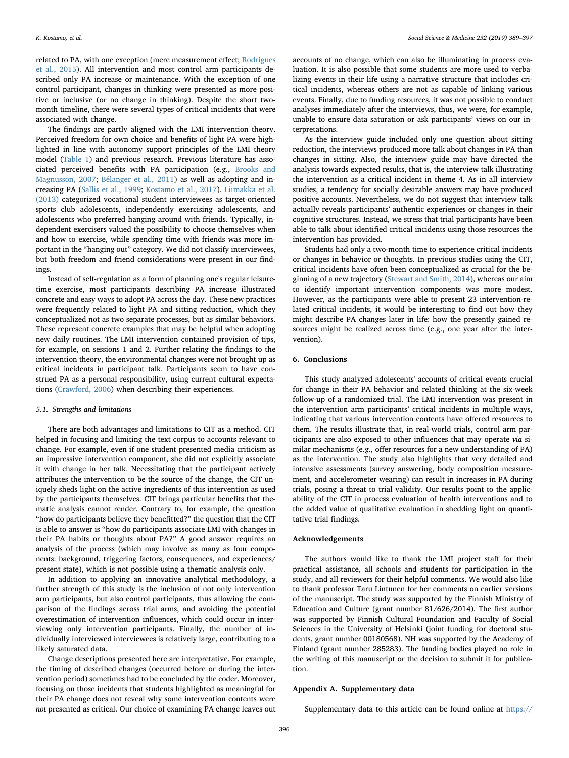related to PA, with one exception (mere measurement effect; [Rodrigues](#page-8-11) [et al., 2015](#page-8-11)). All intervention and most control arm participants described only PA increase or maintenance. With the exception of one control participant, changes in thinking were presented as more positive or inclusive (or no change in thinking). Despite the short twomonth timeline, there were several types of critical incidents that were associated with change.

The findings are partly aligned with the LMI intervention theory. Perceived freedom for own choice and benefits of light PA were highlighted in line with autonomy support principles of the LMI theory model [\(Table 1\)](#page-2-0) and previous research. Previous literature has associated perceived benefits with PA participation (e.g., [Brooks and](#page-8-12) [Magnusson, 2007;](#page-8-12) [Bélanger et al., 2011\)](#page-8-13) as well as adopting and increasing PA [\(Sallis et al., 1999;](#page-8-14) [Kostamo et al., 2017](#page-8-15)). [Liimakka et al.](#page-8-16) [\(2013\)](#page-8-16) categorized vocational student interviewees as target-oriented sports club adolescents, independently exercising adolescents, and adolescents who preferred hanging around with friends. Typically, independent exercisers valued the possibility to choose themselves when and how to exercise, while spending time with friends was more important in the "hanging out" category. We did not classify interviewees, but both freedom and friend considerations were present in our findings.

Instead of self-regulation as a form of planning one's regular leisuretime exercise, most participants describing PA increase illustrated concrete and easy ways to adopt PA across the day. These new practices were frequently related to light PA and sitting reduction, which they conceptualized not as two separate processes, but as similar behaviors. These represent concrete examples that may be helpful when adopting new daily routines. The LMI intervention contained provision of tips, for example, on sessions 1 and 2. Further relating the findings to the intervention theory, the environmental changes were not brought up as critical incidents in participant talk. Participants seem to have construed PA as a personal responsibility, using current cultural expectations [\(Crawford, 2006](#page-8-17)) when describing their experiences.

# 5.1. Strengths and limitations

There are both advantages and limitations to CIT as a method. CIT helped in focusing and limiting the text corpus to accounts relevant to change. For example, even if one student presented media criticism as an impressive intervention component, she did not explicitly associate it with change in her talk. Necessitating that the participant actively attributes the intervention to be the source of the change, the CIT uniquely sheds light on the active ingredients of this intervention as used by the participants themselves. CIT brings particular benefits that thematic analysis cannot render. Contrary to, for example, the question "how do participants believe they benefitted?" the question that the CIT is able to answer is "how do participants associate LMI with changes in their PA habits or thoughts about PA?" A good answer requires an analysis of the process (which may involve as many as four components: background, triggering factors, consequences, and experiences/ present state), which is not possible using a thematic analysis only.

In addition to applying an innovative analytical methodology, a further strength of this study is the inclusion of not only intervention arm participants, but also control participants, thus allowing the comparison of the findings across trial arms, and avoiding the potential overestimation of intervention influences, which could occur in interviewing only intervention participants. Finally, the number of individually interviewed interviewees is relatively large, contributing to a likely saturated data.

Change descriptions presented here are interpretative. For example, the timing of described changes (occurred before or during the intervention period) sometimes had to be concluded by the coder. Moreover, focusing on those incidents that students highlighted as meaningful for their PA change does not reveal why some intervention contents were not presented as critical. Our choice of examining PA change leaves out

accounts of no change, which can also be illuminating in process evaluation. It is also possible that some students are more used to verbalizing events in their life using a narrative structure that includes critical incidents, whereas others are not as capable of linking various events. Finally, due to funding resources, it was not possible to conduct analyses immediately after the interviews, thus, we were, for example, unable to ensure data saturation or ask participants' views on our interpretations.

As the interview guide included only one question about sitting reduction, the interviews produced more talk about changes in PA than changes in sitting. Also, the interview guide may have directed the analysis towards expected results, that is, the interview talk illustrating the intervention as a critical incident in theme 4. As in all interview studies, a tendency for socially desirable answers may have produced positive accounts. Nevertheless, we do not suggest that interview talk actually reveals participants' authentic experiences or changes in their cognitive structures. Instead, we stress that trial participants have been able to talk about identified critical incidents using those resources the intervention has provided.

Students had only a two-month time to experience critical incidents or changes in behavior or thoughts. In previous studies using the CIT, critical incidents have often been conceptualized as crucial for the beginning of a new trajectory ([Stewart and Smith, 2014](#page-8-10)), whereas our aim to identify important intervention components was more modest. However, as the participants were able to present 23 intervention-related critical incidents, it would be interesting to find out how they might describe PA changes later in life: how the presently gained resources might be realized across time (e.g., one year after the intervention).

# 6. Conclusions

This study analyzed adolescents' accounts of critical events crucial for change in their PA behavior and related thinking at the six-week follow-up of a randomized trial. The LMI intervention was present in the intervention arm participants' critical incidents in multiple ways, indicating that various intervention contents have offered resources to them. The results illustrate that, in real-world trials, control arm participants are also exposed to other influences that may operate via similar mechanisms (e.g., offer resources for a new understanding of PA) as the intervention. The study also highlights that very detailed and intensive assessments (survey answering, body composition measurement, and accelerometer wearing) can result in increases in PA during trials, posing a threat to trial validity. Our results point to the applicability of the CIT in process evaluation of health interventions and to the added value of qualitative evaluation in shedding light on quantitative trial findings.

### Acknowledgements

The authors would like to thank the LMI project staff for their practical assistance, all schools and students for participation in the study, and all reviewers for their helpful comments. We would also like to thank professor Taru Lintunen for her comments on earlier versions of the manuscript. The study was supported by the Finnish Ministry of Education and Culture (grant number 81/626/2014). The first author was supported by Finnish Cultural Foundation and Faculty of Social Sciences in the University of Helsinki (joint funding for doctoral students, grant number 00180568). NH was supported by the Academy of Finland (grant number 285283). The funding bodies played no role in the writing of this manuscript or the decision to submit it for publication.

# Appendix A. Supplementary data

Supplementary data to this article can be found online at [https://](https://doi.org/10.1016/j.socscimed.2019.05.014)